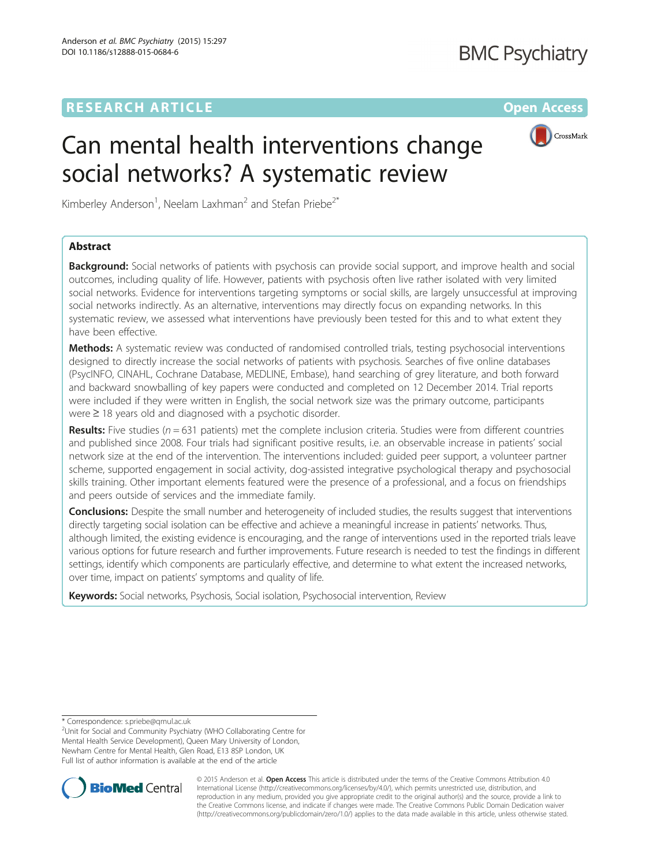# **RESEARCH ARTICLE External Structure of the Contract Open Access**



# Can mental health interventions change social networks? A systematic review

Kimberley Anderson<sup>1</sup>, Neelam Laxhman<sup>2</sup> and Stefan Priebe<sup>2\*</sup>

## Abstract

**Background:** Social networks of patients with psychosis can provide social support, and improve health and social outcomes, including quality of life. However, patients with psychosis often live rather isolated with very limited social networks. Evidence for interventions targeting symptoms or social skills, are largely unsuccessful at improving social networks indirectly. As an alternative, interventions may directly focus on expanding networks. In this systematic review, we assessed what interventions have previously been tested for this and to what extent they have been effective.

Methods: A systematic review was conducted of randomised controlled trials, testing psychosocial interventions designed to directly increase the social networks of patients with psychosis. Searches of five online databases (PsycINFO, CINAHL, Cochrane Database, MEDLINE, Embase), hand searching of grey literature, and both forward and backward snowballing of key papers were conducted and completed on 12 December 2014. Trial reports were included if they were written in English, the social network size was the primary outcome, participants were ≥ 18 years old and diagnosed with a psychotic disorder.

**Results:** Five studies ( $n = 631$  patients) met the complete inclusion criteria. Studies were from different countries and published since 2008. Four trials had significant positive results, i.e. an observable increase in patients' social network size at the end of the intervention. The interventions included: guided peer support, a volunteer partner scheme, supported engagement in social activity, dog-assisted integrative psychological therapy and psychosocial skills training. Other important elements featured were the presence of a professional, and a focus on friendships and peers outside of services and the immediate family.

**Conclusions:** Despite the small number and heterogeneity of included studies, the results suggest that interventions directly targeting social isolation can be effective and achieve a meaningful increase in patients' networks. Thus, although limited, the existing evidence is encouraging, and the range of interventions used in the reported trials leave various options for future research and further improvements. Future research is needed to test the findings in different settings, identify which components are particularly effective, and determine to what extent the increased networks, over time, impact on patients' symptoms and quality of life.

Keywords: Social networks, Psychosis, Social isolation, Psychosocial intervention, Review

\* Correspondence: [s.priebe@qmul.ac.uk](mailto:s.priebe@qmul.ac.uk) <sup>2</sup>

Unit for Social and Community Psychiatry (WHO Collaborating Centre for Mental Health Service Development), Queen Mary University of London, Newham Centre for Mental Health, Glen Road, E13 8SP London, UK Full list of author information is available at the end of the article



© 2015 Anderson et al. Open Access This article is distributed under the terms of the Creative Commons Attribution 4.0 International License [\(http://creativecommons.org/licenses/by/4.0/](http://creativecommons.org/licenses/by/4.0/)), which permits unrestricted use, distribution, and reproduction in any medium, provided you give appropriate credit to the original author(s) and the source, provide a link to the Creative Commons license, and indicate if changes were made. The Creative Commons Public Domain Dedication waiver [\(http://creativecommons.org/publicdomain/zero/1.0/](http://creativecommons.org/publicdomain/zero/1.0/)) applies to the data made available in this article, unless otherwise stated.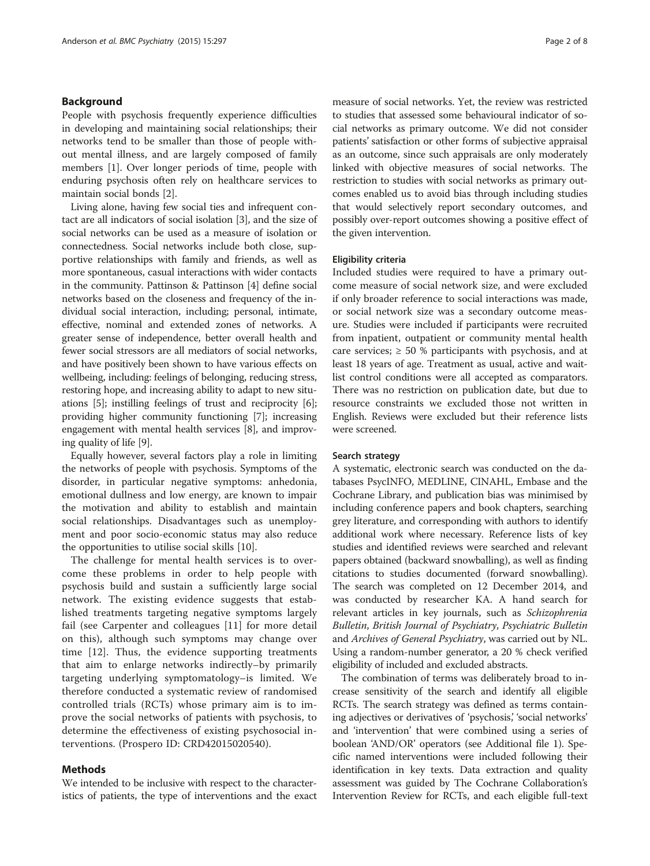#### Background

People with psychosis frequently experience difficulties in developing and maintaining social relationships; their networks tend to be smaller than those of people without mental illness, and are largely composed of family members [[1\]](#page-7-0). Over longer periods of time, people with enduring psychosis often rely on healthcare services to maintain social bonds [\[2](#page-7-0)].

Living alone, having few social ties and infrequent contact are all indicators of social isolation [\[3](#page-7-0)], and the size of social networks can be used as a measure of isolation or connectedness. Social networks include both close, supportive relationships with family and friends, as well as more spontaneous, casual interactions with wider contacts in the community. Pattinson & Pattinson [[4](#page-7-0)] define social networks based on the closeness and frequency of the individual social interaction, including; personal, intimate, effective, nominal and extended zones of networks. A greater sense of independence, better overall health and fewer social stressors are all mediators of social networks, and have positively been shown to have various effects on wellbeing, including: feelings of belonging, reducing stress, restoring hope, and increasing ability to adapt to new situations [\[5\]](#page-7-0); instilling feelings of trust and reciprocity [[6](#page-7-0)]; providing higher community functioning [\[7\]](#page-7-0); increasing engagement with mental health services [\[8](#page-7-0)], and improving quality of life [[9](#page-7-0)].

Equally however, several factors play a role in limiting the networks of people with psychosis. Symptoms of the disorder, in particular negative symptoms: anhedonia, emotional dullness and low energy, are known to impair the motivation and ability to establish and maintain social relationships. Disadvantages such as unemployment and poor socio-economic status may also reduce the opportunities to utilise social skills [[10](#page-7-0)].

The challenge for mental health services is to overcome these problems in order to help people with psychosis build and sustain a sufficiently large social network. The existing evidence suggests that established treatments targeting negative symptoms largely fail (see Carpenter and colleagues [[11\]](#page-7-0) for more detail on this), although such symptoms may change over time [\[12](#page-7-0)]. Thus, the evidence supporting treatments that aim to enlarge networks indirectly–by primarily targeting underlying symptomatology–is limited. We therefore conducted a systematic review of randomised controlled trials (RCTs) whose primary aim is to improve the social networks of patients with psychosis, to determine the effectiveness of existing psychosocial interventions. (Prospero ID: CRD42015020540).

#### Methods

We intended to be inclusive with respect to the characteristics of patients, the type of interventions and the exact

measure of social networks. Yet, the review was restricted to studies that assessed some behavioural indicator of social networks as primary outcome. We did not consider patients' satisfaction or other forms of subjective appraisal as an outcome, since such appraisals are only moderately linked with objective measures of social networks. The restriction to studies with social networks as primary outcomes enabled us to avoid bias through including studies that would selectively report secondary outcomes, and possibly over-report outcomes showing a positive effect of the given intervention.

#### Eligibility criteria

Included studies were required to have a primary outcome measure of social network size, and were excluded if only broader reference to social interactions was made, or social network size was a secondary outcome measure. Studies were included if participants were recruited from inpatient, outpatient or community mental health care services;  $\geq 50$  % participants with psychosis, and at least 18 years of age. Treatment as usual, active and waitlist control conditions were all accepted as comparators. There was no restriction on publication date, but due to resource constraints we excluded those not written in English. Reviews were excluded but their reference lists were screened.

#### Search strategy

A systematic, electronic search was conducted on the databases PsycINFO, MEDLINE, CINAHL, Embase and the Cochrane Library, and publication bias was minimised by including conference papers and book chapters, searching grey literature, and corresponding with authors to identify additional work where necessary. Reference lists of key studies and identified reviews were searched and relevant papers obtained (backward snowballing), as well as finding citations to studies documented (forward snowballing). The search was completed on 12 December 2014, and was conducted by researcher KA. A hand search for relevant articles in key journals, such as Schizophrenia Bulletin, British Journal of Psychiatry, Psychiatric Bulletin and Archives of General Psychiatry, was carried out by NL. Using a random-number generator, a 20 % check verified eligibility of included and excluded abstracts.

The combination of terms was deliberately broad to increase sensitivity of the search and identify all eligible RCTs. The search strategy was defined as terms containing adjectives or derivatives of 'psychosis,' 'social networks' and 'intervention' that were combined using a series of boolean 'AND/OR' operators (see Additional file [1\)](#page-6-0). Specific named interventions were included following their identification in key texts. Data extraction and quality assessment was guided by The Cochrane Collaboration's Intervention Review for RCTs, and each eligible full-text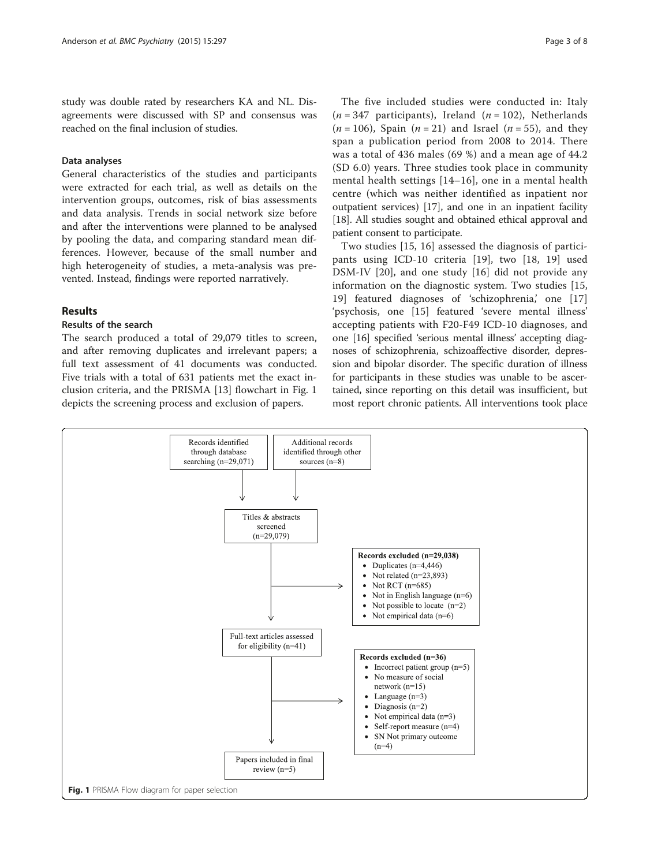study was double rated by researchers KA and NL. Disagreements were discussed with SP and consensus was reached on the final inclusion of studies.

## Data analyses

General characteristics of the studies and participants were extracted for each trial, as well as details on the intervention groups, outcomes, risk of bias assessments and data analysis. Trends in social network size before and after the interventions were planned to be analysed by pooling the data, and comparing standard mean differences. However, because of the small number and high heterogeneity of studies, a meta-analysis was prevented. Instead, findings were reported narratively.

#### Results

## Results of the search

The search produced a total of 29,079 titles to screen, and after removing duplicates and irrelevant papers; a full text assessment of 41 documents was conducted. Five trials with a total of 631 patients met the exact inclusion criteria, and the PRISMA [[13](#page-7-0)] flowchart in Fig. 1 depicts the screening process and exclusion of papers.

The five included studies were conducted in: Italy  $(n = 347$  participants), Ireland  $(n = 102)$ , Netherlands  $(n = 106)$ , Spain  $(n = 21)$  and Israel  $(n = 55)$ , and they span a publication period from 2008 to 2014. There was a total of 436 males (69 %) and a mean age of 44.2 (SD 6.0) years. Three studies took place in community mental health settings [[14](#page-7-0)–[16\]](#page-7-0), one in a mental health centre (which was neither identified as inpatient nor outpatient services) [\[17\]](#page-7-0), and one in an inpatient facility [[18](#page-7-0)]. All studies sought and obtained ethical approval and patient consent to participate.

Two studies [[15, 16](#page-7-0)] assessed the diagnosis of participants using ICD-10 criteria [[19\]](#page-7-0), two [\[18](#page-7-0), [19\]](#page-7-0) used DSM-IV [\[20](#page-7-0)], and one study [[16\]](#page-7-0) did not provide any information on the diagnostic system. Two studies [\[15](#page-7-0), [19\]](#page-7-0) featured diagnoses of 'schizophrenia,' one [\[17](#page-7-0)] 'psychosis, one [\[15](#page-7-0)] featured 'severe mental illness' accepting patients with F20-F49 ICD-10 diagnoses, and one [\[16](#page-7-0)] specified 'serious mental illness' accepting diagnoses of schizophrenia, schizoaffective disorder, depression and bipolar disorder. The specific duration of illness for participants in these studies was unable to be ascertained, since reporting on this detail was insufficient, but most report chronic patients. All interventions took place

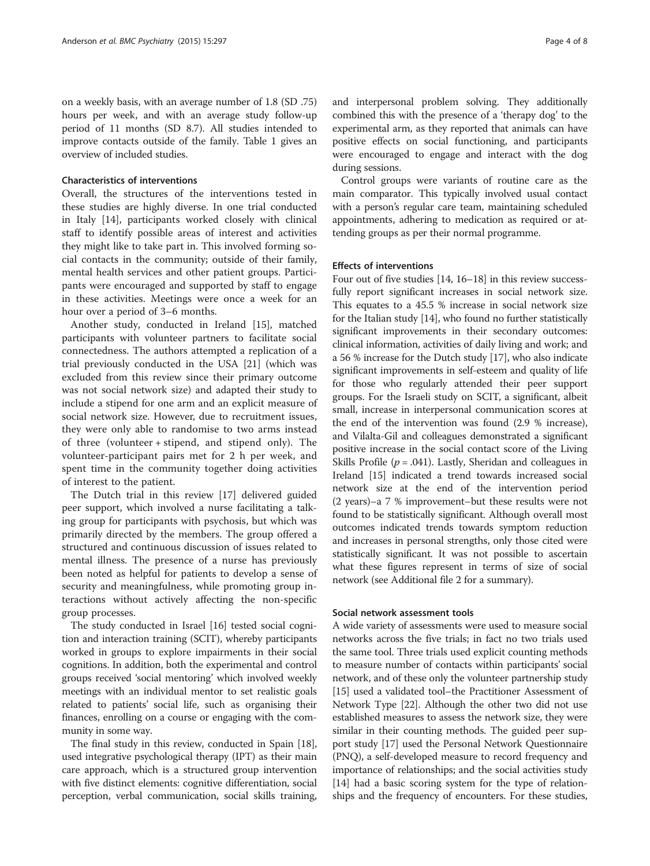on a weekly basis, with an average number of 1.8 (SD .75) hours per week, and with an average study follow-up period of 11 months (SD 8.7). All studies intended to improve contacts outside of the family. Table [1](#page-4-0) gives an overview of included studies.

#### Characteristics of interventions

Overall, the structures of the interventions tested in these studies are highly diverse. In one trial conducted in Italy [\[14](#page-7-0)], participants worked closely with clinical staff to identify possible areas of interest and activities they might like to take part in. This involved forming social contacts in the community; outside of their family, mental health services and other patient groups. Participants were encouraged and supported by staff to engage in these activities. Meetings were once a week for an hour over a period of 3–6 months.

Another study, conducted in Ireland [[15](#page-7-0)], matched participants with volunteer partners to facilitate social connectedness. The authors attempted a replication of a trial previously conducted in the USA [\[21\]](#page-7-0) (which was excluded from this review since their primary outcome was not social network size) and adapted their study to include a stipend for one arm and an explicit measure of social network size. However, due to recruitment issues, they were only able to randomise to two arms instead of three (volunteer + stipend, and stipend only). The volunteer-participant pairs met for 2 h per week, and spent time in the community together doing activities of interest to the patient.

The Dutch trial in this review [[17\]](#page-7-0) delivered guided peer support, which involved a nurse facilitating a talking group for participants with psychosis, but which was primarily directed by the members. The group offered a structured and continuous discussion of issues related to mental illness. The presence of a nurse has previously been noted as helpful for patients to develop a sense of security and meaningfulness, while promoting group interactions without actively affecting the non-specific group processes.

The study conducted in Israel [\[16\]](#page-7-0) tested social cognition and interaction training (SCIT), whereby participants worked in groups to explore impairments in their social cognitions. In addition, both the experimental and control groups received 'social mentoring' which involved weekly meetings with an individual mentor to set realistic goals related to patients' social life, such as organising their finances, enrolling on a course or engaging with the community in some way.

The final study in this review, conducted in Spain [[18](#page-7-0)], used integrative psychological therapy (IPT) as their main care approach, which is a structured group intervention with five distinct elements: cognitive differentiation, social perception, verbal communication, social skills training,

and interpersonal problem solving. They additionally combined this with the presence of a 'therapy dog' to the experimental arm, as they reported that animals can have positive effects on social functioning, and participants were encouraged to engage and interact with the dog during sessions.

Control groups were variants of routine care as the main comparator. This typically involved usual contact with a person's regular care team, maintaining scheduled appointments, adhering to medication as required or attending groups as per their normal programme.

#### Effects of interventions

Four out of five studies [\[14](#page-7-0), [16](#page-7-0)–[18](#page-7-0)] in this review successfully report significant increases in social network size. This equates to a 45.5 % increase in social network size for the Italian study [[14](#page-7-0)], who found no further statistically significant improvements in their secondary outcomes: clinical information, activities of daily living and work; and a 56 % increase for the Dutch study [\[17\]](#page-7-0), who also indicate significant improvements in self-esteem and quality of life for those who regularly attended their peer support groups. For the Israeli study on SCIT, a significant, albeit small, increase in interpersonal communication scores at the end of the intervention was found (2.9 % increase), and Vilalta-Gil and colleagues demonstrated a significant positive increase in the social contact score of the Living Skills Profile ( $p = .041$ ). Lastly, Sheridan and colleagues in Ireland [\[15\]](#page-7-0) indicated a trend towards increased social network size at the end of the intervention period (2 years)–a 7 % improvement–but these results were not found to be statistically significant. Although overall most outcomes indicated trends towards symptom reduction and increases in personal strengths, only those cited were statistically significant. It was not possible to ascertain what these figures represent in terms of size of social network (see Additional file [2](#page-6-0) for a summary).

#### Social network assessment tools

A wide variety of assessments were used to measure social networks across the five trials; in fact no two trials used the same tool. Three trials used explicit counting methods to measure number of contacts within participants' social network, and of these only the volunteer partnership study [[15](#page-7-0)] used a validated tool–the Practitioner Assessment of Network Type [\[22](#page-7-0)]. Although the other two did not use established measures to assess the network size, they were similar in their counting methods. The guided peer support study [[17](#page-7-0)] used the Personal Network Questionnaire (PNQ), a self-developed measure to record frequency and importance of relationships; and the social activities study [[14](#page-7-0)] had a basic scoring system for the type of relationships and the frequency of encounters. For these studies,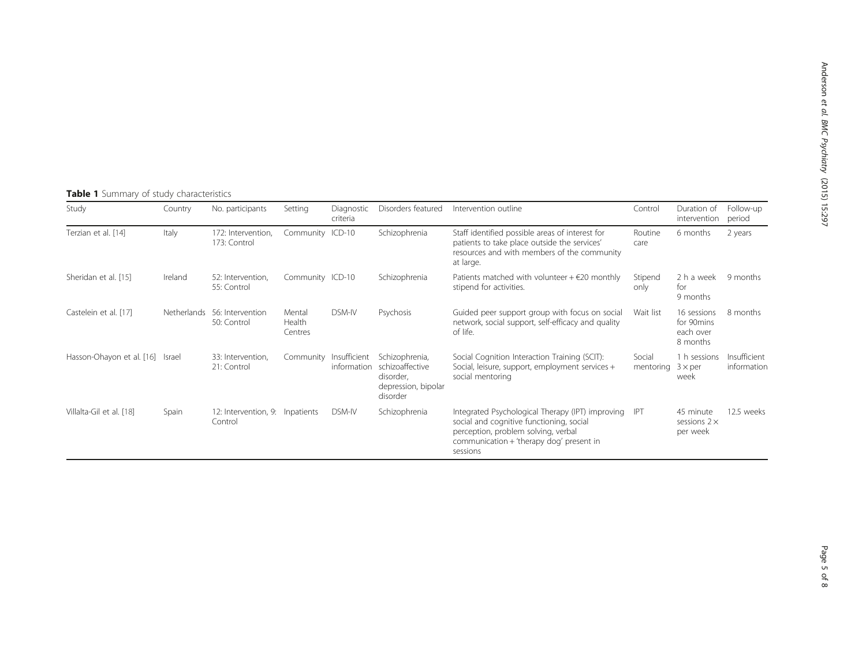# <span id="page-4-0"></span>Table 1 Summary of study characteristics

| Study                            | Country            | No. participants                           | Setting                     | Diagnostic<br>criteria      | Disorders featured                                                                | Intervention outline                                                                                                                                                                        | Control             | Duration of<br>intervention                        | Follow-up<br>period         |
|----------------------------------|--------------------|--------------------------------------------|-----------------------------|-----------------------------|-----------------------------------------------------------------------------------|---------------------------------------------------------------------------------------------------------------------------------------------------------------------------------------------|---------------------|----------------------------------------------------|-----------------------------|
| Terzian et al. [14]              | Italy              | 172: Intervention,<br>173: Control         | Community ICD-10            |                             | Schizophrenia                                                                     | Staff identified possible areas of interest for<br>patients to take place outside the services'<br>resources and with members of the community<br>at large.                                 | Routine<br>care     | 6 months                                           | 2 years                     |
| Sheridan et al. [15]             | Ireland            | 52: Intervention.<br>55: Control           | Community ICD-10            |                             | Schizophrenia                                                                     | Patients matched with volunteer $+$ $\in$ 20 monthly<br>stipend for activities.                                                                                                             | Stipend<br>only     | 2 h a week<br>for<br>9 months                      | 9 months                    |
| Castelein et al. [17]            | <b>Netherlands</b> | 56: Intervention<br>50: Control            | Mental<br>Health<br>Centres | DSM-IV                      | Psychosis                                                                         | Guided peer support group with focus on social<br>network, social support, self-efficacy and quality<br>of life.                                                                            | Wait list           | 16 sessions<br>for 90mins<br>each over<br>8 months | 8 months                    |
| Hasson-Ohayon et al. [16] Israel |                    | 33: Intervention,<br>21: Control           | Community                   | Insufficient<br>information | Schizophrenia,<br>schizoaffective<br>disorder,<br>depression, bipolar<br>disorder | Social Cognition Interaction Training (SCIT):<br>Social, leisure, support, employment services +<br>social mentoring                                                                        | Social<br>mentoring | 1 h sessions<br>$3 \times per$<br>week             | Insufficient<br>information |
| Villalta-Gil et al. [18]         | Spain              | 12: Intervention, 9: Inpatients<br>Control |                             | <b>DSM-IV</b>               | Schizophrenia                                                                     | Integrated Psychological Therapy (IPT) improving<br>social and cognitive functioning, social<br>perception, problem solving, verbal<br>communication + 'therapy dog' present in<br>sessions | <b>IPT</b>          | 45 minute<br>sessions $2 \times$<br>per week       | 12.5 weeks                  |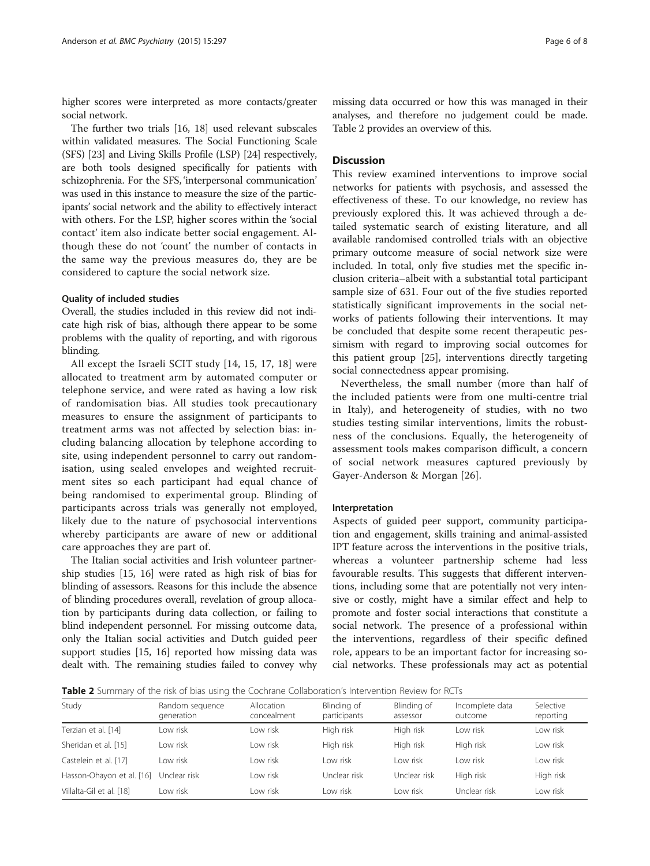higher scores were interpreted as more contacts/greater social network.

The further two trials [\[16](#page-7-0), [18\]](#page-7-0) used relevant subscales within validated measures. The Social Functioning Scale (SFS) [[23](#page-7-0)] and Living Skills Profile (LSP) [\[24\]](#page-7-0) respectively, are both tools designed specifically for patients with schizophrenia. For the SFS, 'interpersonal communication' was used in this instance to measure the size of the participants' social network and the ability to effectively interact with others. For the LSP, higher scores within the 'social contact' item also indicate better social engagement. Although these do not 'count' the number of contacts in the same way the previous measures do, they are be considered to capture the social network size.

#### Quality of included studies

Overall, the studies included in this review did not indicate high risk of bias, although there appear to be some problems with the quality of reporting, and with rigorous blinding.

All except the Israeli SCIT study [[14](#page-7-0), [15, 17, 18](#page-7-0)] were allocated to treatment arm by automated computer or telephone service, and were rated as having a low risk of randomisation bias. All studies took precautionary measures to ensure the assignment of participants to treatment arms was not affected by selection bias: including balancing allocation by telephone according to site, using independent personnel to carry out randomisation, using sealed envelopes and weighted recruitment sites so each participant had equal chance of being randomised to experimental group. Blinding of participants across trials was generally not employed, likely due to the nature of psychosocial interventions whereby participants are aware of new or additional care approaches they are part of.

The Italian social activities and Irish volunteer partnership studies [[15](#page-7-0), [16](#page-7-0)] were rated as high risk of bias for blinding of assessors. Reasons for this include the absence of blinding procedures overall, revelation of group allocation by participants during data collection, or failing to blind independent personnel. For missing outcome data, only the Italian social activities and Dutch guided peer support studies [\[15, 16\]](#page-7-0) reported how missing data was dealt with. The remaining studies failed to convey why missing data occurred or how this was managed in their analyses, and therefore no judgement could be made. Table 2 provides an overview of this.

### **Discussion**

This review examined interventions to improve social networks for patients with psychosis, and assessed the effectiveness of these. To our knowledge, no review has previously explored this. It was achieved through a detailed systematic search of existing literature, and all available randomised controlled trials with an objective primary outcome measure of social network size were included. In total, only five studies met the specific inclusion criteria–albeit with a substantial total participant sample size of 631. Four out of the five studies reported statistically significant improvements in the social networks of patients following their interventions. It may be concluded that despite some recent therapeutic pessimism with regard to improving social outcomes for this patient group [[25\]](#page-7-0), interventions directly targeting social connectedness appear promising.

Nevertheless, the small number (more than half of the included patients were from one multi-centre trial in Italy), and heterogeneity of studies, with no two studies testing similar interventions, limits the robustness of the conclusions. Equally, the heterogeneity of assessment tools makes comparison difficult, a concern of social network measures captured previously by Gayer-Anderson & Morgan [[26\]](#page-7-0).

#### Interpretation

Aspects of guided peer support, community participation and engagement, skills training and animal-assisted IPT feature across the interventions in the positive trials, whereas a volunteer partnership scheme had less favourable results. This suggests that different interventions, including some that are potentially not very intensive or costly, might have a similar effect and help to promote and foster social interactions that constitute a social network. The presence of a professional within the interventions, regardless of their specific defined role, appears to be an important factor for increasing social networks. These professionals may act as potential

Table 2 Summary of the risk of bias using the Cochrane Collaboration's Intervention Review for RCTs

| Study                     | Random sequence<br>generation | Allocation<br>concealment | Blinding of<br>participants | Blinding of<br>assessor | Incomplete data<br>outcome | Selective<br>reporting |
|---------------------------|-------------------------------|---------------------------|-----------------------------|-------------------------|----------------------------|------------------------|
| Terzian et al. [14]       | Low risk                      | Low risk                  | High risk                   | High risk               | Low risk                   | Low risk               |
| Sheridan et al. [15]      | I ow risk                     | I ow risk                 | High risk                   | High risk               | High risk                  | Low risk               |
| Castelein et al. [17]     | I ow risk                     | I ow risk                 | I ow risk                   | I ow risk               | Low risk                   | I ow risk              |
| Hasson-Ohayon et al. [16] | Unclear risk                  | Low risk                  | Unclear risk                | Unclear risk            | High risk                  | High risk              |
| Villalta-Gil et al. [18]  | Low risk                      | Low risk                  | I ow risk                   | Low risk                | Unclear risk               | Low risk               |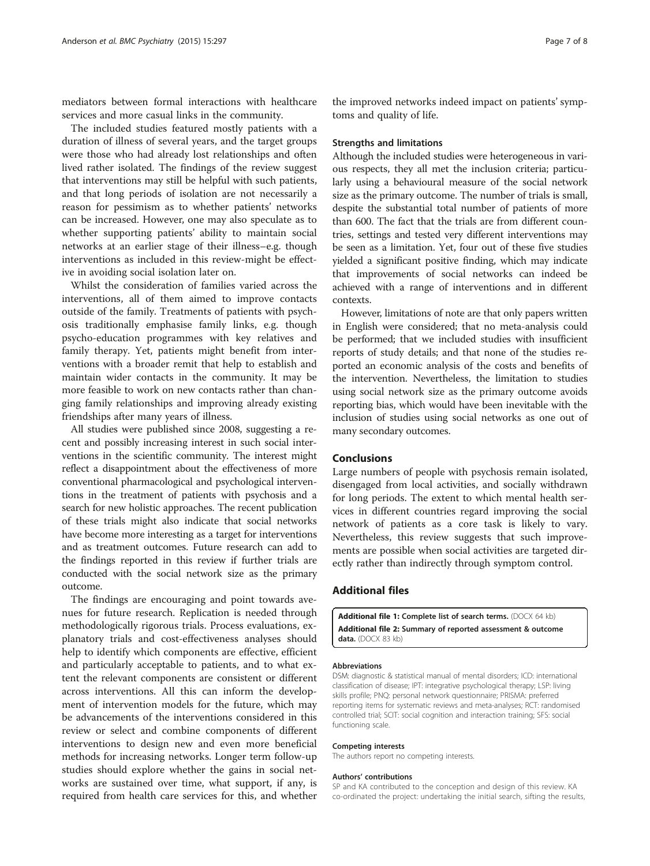<span id="page-6-0"></span>mediators between formal interactions with healthcare services and more casual links in the community.

The included studies featured mostly patients with a duration of illness of several years, and the target groups were those who had already lost relationships and often lived rather isolated. The findings of the review suggest that interventions may still be helpful with such patients, and that long periods of isolation are not necessarily a reason for pessimism as to whether patients' networks can be increased. However, one may also speculate as to whether supporting patients' ability to maintain social networks at an earlier stage of their illness–e.g. though interventions as included in this review-might be effective in avoiding social isolation later on.

Whilst the consideration of families varied across the interventions, all of them aimed to improve contacts outside of the family. Treatments of patients with psychosis traditionally emphasise family links, e.g. though psycho-education programmes with key relatives and family therapy. Yet, patients might benefit from interventions with a broader remit that help to establish and maintain wider contacts in the community. It may be more feasible to work on new contacts rather than changing family relationships and improving already existing friendships after many years of illness.

All studies were published since 2008, suggesting a recent and possibly increasing interest in such social interventions in the scientific community. The interest might reflect a disappointment about the effectiveness of more conventional pharmacological and psychological interventions in the treatment of patients with psychosis and a search for new holistic approaches. The recent publication of these trials might also indicate that social networks have become more interesting as a target for interventions and as treatment outcomes. Future research can add to the findings reported in this review if further trials are conducted with the social network size as the primary outcome.

The findings are encouraging and point towards avenues for future research. Replication is needed through methodologically rigorous trials. Process evaluations, explanatory trials and cost-effectiveness analyses should help to identify which components are effective, efficient and particularly acceptable to patients, and to what extent the relevant components are consistent or different across interventions. All this can inform the development of intervention models for the future, which may be advancements of the interventions considered in this review or select and combine components of different interventions to design new and even more beneficial methods for increasing networks. Longer term follow-up studies should explore whether the gains in social networks are sustained over time, what support, if any, is required from health care services for this, and whether

the improved networks indeed impact on patients' symptoms and quality of life.

#### Strengths and limitations

Although the included studies were heterogeneous in various respects, they all met the inclusion criteria; particularly using a behavioural measure of the social network size as the primary outcome. The number of trials is small, despite the substantial total number of patients of more than 600. The fact that the trials are from different countries, settings and tested very different interventions may be seen as a limitation. Yet, four out of these five studies yielded a significant positive finding, which may indicate that improvements of social networks can indeed be achieved with a range of interventions and in different contexts.

However, limitations of note are that only papers written in English were considered; that no meta-analysis could be performed; that we included studies with insufficient reports of study details; and that none of the studies reported an economic analysis of the costs and benefits of the intervention. Nevertheless, the limitation to studies using social network size as the primary outcome avoids reporting bias, which would have been inevitable with the inclusion of studies using social networks as one out of many secondary outcomes.

#### Conclusions

Large numbers of people with psychosis remain isolated, disengaged from local activities, and socially withdrawn for long periods. The extent to which mental health services in different countries regard improving the social network of patients as a core task is likely to vary. Nevertheless, this review suggests that such improvements are possible when social activities are targeted directly rather than indirectly through symptom control.

#### Additional files

[Additional file 1:](dx.doi.org/10.1186/s12888-015-0684-6) Complete list of search terms. (DOCX 64 kb) [Additional file 2:](dx.doi.org/10.1186/s12888-015-0684-6) Summary of reported assessment & outcome data. (DOCX 83 kb)

#### Abbreviations

DSM: diagnostic & statistical manual of mental disorders; ICD: international classification of disease; IPT: integrative psychological therapy; LSP: living skills profile; PNQ: personal network questionnaire; PRISMA: preferred reporting items for systematic reviews and meta-analyses; RCT: randomised controlled trial; SCIT: social cognition and interaction training; SFS: social functioning scale.

#### Competing interests

The authors report no competing interests.

#### Authors' contributions

SP and KA contributed to the conception and design of this review. KA co-ordinated the project: undertaking the initial search, sifting the results,